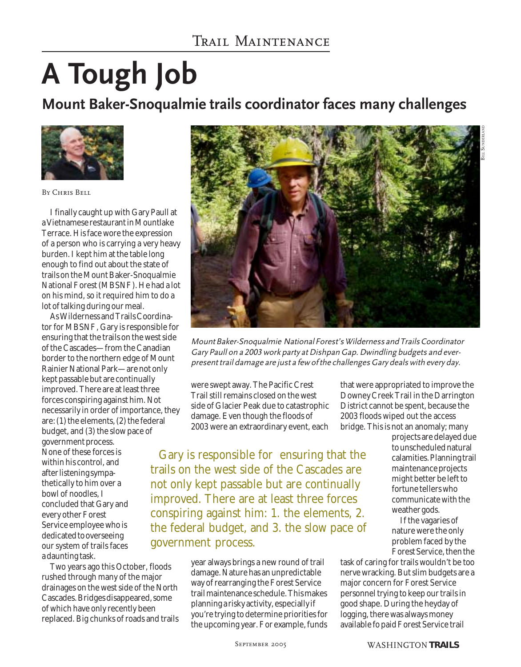## **A Tough Job**

**Mount Baker-Snoqualmie trails coordinator faces many challenges**



By Chris Bell

I finally caught up with Gary Paull at a Vietnamese restaurant in Mountlake Terrace. His face wore the expression of a person who is carrying a very heavy burden. I kept him at the table long enough to find out about the state of trails on the Mount Baker-Snoqualmie National Forest (MBSNF). He had a lot on his mind, so it required him to do a lot of talking during our meal.

As Wilderness and Trails Coordinator for MBSNF, Gary is responsible for ensuring that the trails on the west side of the Cascades—from the Canadian border to the northern edge of Mount Rainier National Park—are not only kept passable but are continually improved. There are at least three forces conspiring against him. Not necessarily in order of importance, they are: (1) the elements, (2) the federal budget, and (3) the slow pace of government process. None of these forces is within his control, and after listening sympathetically to him over a bowl of noodles, I concluded that Gary and every other Forest Service employee who is dedicated to overseeing our system of trails faces a daunting task.

Two years ago this October, floods rushed through many of the major drainages on the west side of the North Cascades. Bridges disappeared, some of which have only recently been replaced. Big chunks of roads and trails



Mount Baker-Snoqualmie National Forest's Wilderness and Trails Coordinator Gary Paull on a 2003 work party at Dishpan Gap. Dwindling budgets and everpresent trail damage are just a few of the challenges Gary deals with every day.

were swept away. The Pacific Crest Trail still remains closed on the west side of Glacier Peak due to catastrophic damage. Even though the floods of 2003 were an extraordinary event, each

Gary is responsible for ensuring that the trails on the west side of the Cascades are not only kept passable but are continually improved. There are at least three forces conspiring against him: 1. the elements, 2. the federal budget, and 3. the slow pace of government process.

> year always brings a new round of trail damage. Nature has an unpredictable way of rearranging the Forest Service trail maintenance schedule. This makes planning a risky activity, especially if you're trying to determine priorities for the upcoming year. For example, funds

that were appropriated to improve the Downey Creek Trail in the Darrington District cannot be spent, because the 2003 floods wiped out the access bridge. This is not an anomaly; many

> projects are delayed due to unscheduled natural calamities. Planning trail maintenance projects might better be left to fortune tellers who communicate with the weather gods.

If the vagaries of nature were the only problem faced by the Forest Service, then the

task of caring for trails wouldn't be too nerve wracking. But slim budgets are a major concern for Forest Service personnel trying to keep our trails in good shape. During the heyday of logging, there was always money available fo paid Forest Service trail